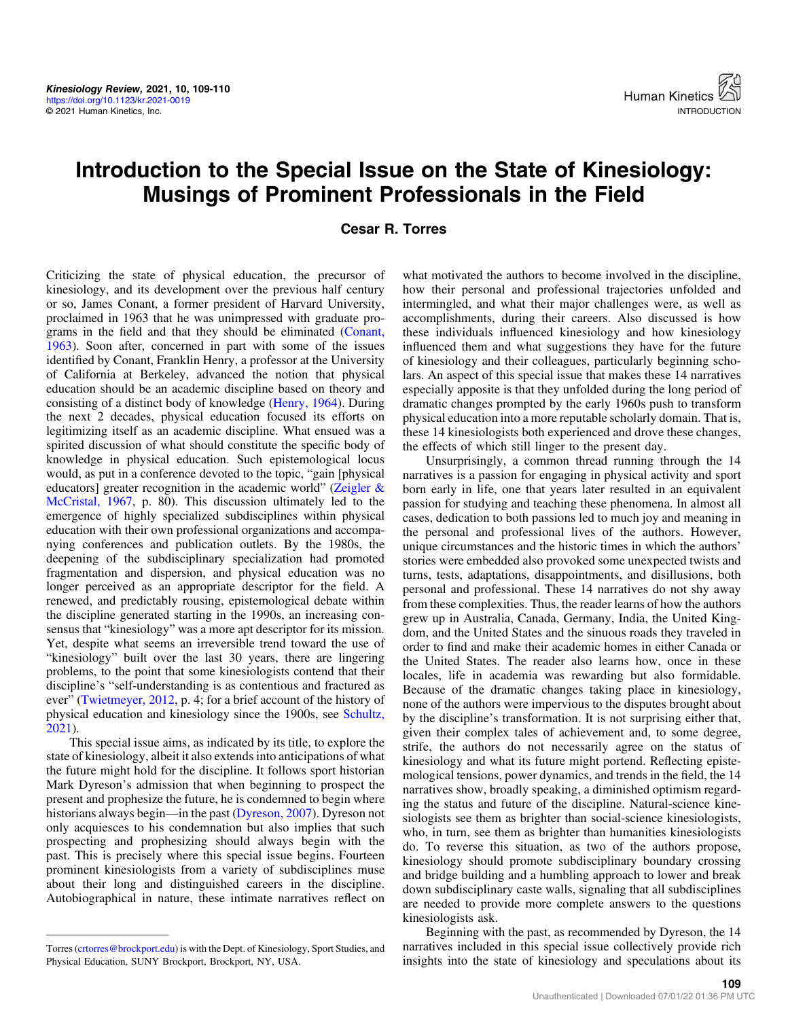## Introduction to the Special Issue on the State of Kinesiology: Musings of Prominent Professionals in the Field

Cesar R. Torres

Criticizing the state of physical education, the precursor of kinesiology, and its development over the previous half century or so, James Conant, a former president of Harvard University, proclaimed in 1963 that he was unimpressed with graduate programs in the field and that they should be eliminated ([Conant,](#page-1-0) [1963](#page-1-0)). Soon after, concerned in part with some of the issues identified by Conant, Franklin Henry, a professor at the University of California at Berkeley, advanced the notion that physical education should be an academic discipline based on theory and consisting of a distinct body of knowledge [\(Henry, 1964](#page-1-0)). During the next 2 decades, physical education focused its efforts on legitimizing itself as an academic discipline. What ensued was a spirited discussion of what should constitute the specific body of knowledge in physical education. Such epistemological locus would, as put in a conference devoted to the topic, "gain [physical educators] greater recognition in the academic world" ([Zeigler &](#page-1-0) [McCristal, 1967,](#page-1-0) p. 80). This discussion ultimately led to the emergence of highly specialized subdisciplines within physical education with their own professional organizations and accompanying conferences and publication outlets. By the 1980s, the deepening of the subdisciplinary specialization had promoted fragmentation and dispersion, and physical education was no longer perceived as an appropriate descriptor for the field. A renewed, and predictably rousing, epistemological debate within the discipline generated starting in the 1990s, an increasing consensus that "kinesiology" was a more apt descriptor for its mission. Yet, despite what seems an irreversible trend toward the use of "kinesiology" built over the last 30 years, there are lingering problems, to the point that some kinesiologists contend that their discipline's "self-understanding is as contentious and fractured as ever" [\(Twietmeyer, 2012,](#page-1-0) p. 4; for a brief account of the history of physical education and kinesiology since the 1900s, see [Schultz,](#page-1-0) [2021](#page-1-0)).

This special issue aims, as indicated by its title, to explore the state of kinesiology, albeit it also extends into anticipations of what the future might hold for the discipline. It follows sport historian Mark Dyreson's admission that when beginning to prospect the present and prophesize the future, he is condemned to begin where historians always begin—in the past ([Dyreson, 2007\)](#page-1-0). Dyreson not only acquiesces to his condemnation but also implies that such prospecting and prophesizing should always begin with the past. This is precisely where this special issue begins. Fourteen prominent kinesiologists from a variety of subdisciplines muse about their long and distinguished careers in the discipline. Autobiographical in nature, these intimate narratives reflect on

what motivated the authors to become involved in the discipline, how their personal and professional trajectories unfolded and intermingled, and what their major challenges were, as well as accomplishments, during their careers. Also discussed is how these individuals influenced kinesiology and how kinesiology influenced them and what suggestions they have for the future of kinesiology and their colleagues, particularly beginning scholars. An aspect of this special issue that makes these 14 narratives especially apposite is that they unfolded during the long period of dramatic changes prompted by the early 1960s push to transform physical education into a more reputable scholarly domain. That is, these 14 kinesiologists both experienced and drove these changes, the effects of which still linger to the present day.

Unsurprisingly, a common thread running through the 14 narratives is a passion for engaging in physical activity and sport born early in life, one that years later resulted in an equivalent passion for studying and teaching these phenomena. In almost all cases, dedication to both passions led to much joy and meaning in the personal and professional lives of the authors. However, unique circumstances and the historic times in which the authors' stories were embedded also provoked some unexpected twists and turns, tests, adaptations, disappointments, and disillusions, both personal and professional. These 14 narratives do not shy away from these complexities. Thus, the reader learns of how the authors grew up in Australia, Canada, Germany, India, the United Kingdom, and the United States and the sinuous roads they traveled in order to find and make their academic homes in either Canada or the United States. The reader also learns how, once in these locales, life in academia was rewarding but also formidable. Because of the dramatic changes taking place in kinesiology, none of the authors were impervious to the disputes brought about by the discipline's transformation. It is not surprising either that, given their complex tales of achievement and, to some degree, strife, the authors do not necessarily agree on the status of kinesiology and what its future might portend. Reflecting epistemological tensions, power dynamics, and trends in the field, the 14 narratives show, broadly speaking, a diminished optimism regarding the status and future of the discipline. Natural-science kinesiologists see them as brighter than social-science kinesiologists, who, in turn, see them as brighter than humanities kinesiologists do. To reverse this situation, as two of the authors propose, kinesiology should promote subdisciplinary boundary crossing and bridge building and a humbling approach to lower and break down subdisciplinary caste walls, signaling that all subdisciplines are needed to provide more complete answers to the questions kinesiologists ask.

Beginning with the past, as recommended by Dyreson, the 14 narratives included in this special issue collectively provide rich insights into the state of kinesiology and speculations about its

Torres ([crtorres@brockport.edu\)](mailto:crtorres@brockport.edu) is with the Dept. of Kinesiology, Sport Studies, and Physical Education, SUNY Brockport, Brockport, NY, USA.